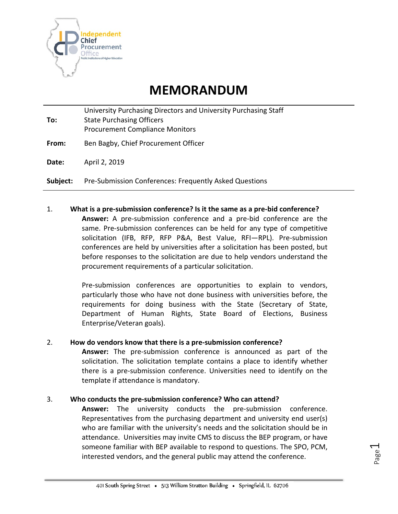

# **MEMORANDUM**

**To:** University Purchasing Directors and University Purchasing Staff State Purchasing Officers Procurement Compliance Monitors

**From:** Ben Bagby, Chief Procurement Officer

**Date:** April 2, 2019

**Subject:** Pre-Submission Conferences: Frequently Asked Questions

#### 1. **What is a pre-submission conference? Is it the same as a pre-bid conference?**

**Answer:** A pre-submission conference and a pre-bid conference are the same. Pre-submission conferences can be held for any type of competitive solicitation (IFB, RFP, RFP P&A, Best Value, RFI—RPL). Pre-submission conferences are held by universities after a solicitation has been posted, but before responses to the solicitation are due to help vendors understand the procurement requirements of a particular solicitation.

Pre-submission conferences are opportunities to explain to vendors, particularly those who have not done business with universities before, the requirements for doing business with the State (Secretary of State, Department of Human Rights, State Board of Elections, Business Enterprise/Veteran goals).

#### 2. **How do vendors know that there is a pre-submission conference?**

**Answer:** The pre-submission conference is announced as part of the solicitation. The solicitation template contains a place to identify whether there is a pre-submission conference. Universities need to identify on the template if attendance is mandatory.

#### 3. **Who conducts the pre-submission conference? Who can attend?**

**Answer:** The university conducts the pre-submission conference. Representatives from the purchasing department and university end user(s) who are familiar with the university's needs and the solicitation should be in attendance. Universities may invite CMS to discuss the BEP program, or have someone familiar with BEP available to respond to questions. The SPO, PCM, interested vendors, and the general public may attend the conference.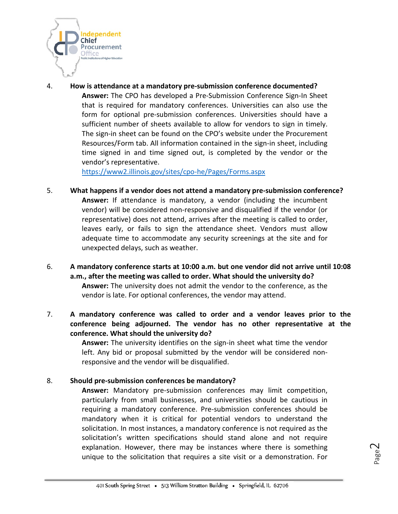

4. **How is attendance at a mandatory pre-submission conference documented? Answer:** The CPO has developed a Pre-Submission Conference Sign-In Sheet that is required for mandatory conferences. Universities can also use the form for optional pre-submission conferences. Universities should have a sufficient number of sheets available to allow for vendors to sign in timely. The sign-in sheet can be found on the CPO's website under the Procurement Resources/Form tab. All information contained in the sign-in sheet, including time signed in and time signed out, is completed by the vendor or the vendor's representative.

<https://www2.illinois.gov/sites/cpo-he/Pages/Forms.aspx>

- 5. **What happens if a vendor does not attend a mandatory pre-submission conference? Answer:** If attendance is mandatory, a vendor (including the incumbent vendor) will be considered non-responsive and disqualified if the vendor (or representative) does not attend, arrives after the meeting is called to order, leaves early, or fails to sign the attendance sheet. Vendors must allow adequate time to accommodate any security screenings at the site and for unexpected delays, such as weather.
- 6. **A mandatory conference starts at 10:00 a.m. but one vendor did not arrive until 10:08 a.m., after the meeting was called to order. What should the university do? Answer:** The university does not admit the vendor to the conference, as the vendor is late. For optional conferences, the vendor may attend.
- 7. **A mandatory conference was called to order and a vendor leaves prior to the conference being adjourned. The vendor has no other representative at the conference. What should the university do?**

**Answer:** The university identifies on the sign-in sheet what time the vendor left. Any bid or proposal submitted by the vendor will be considered nonresponsive and the vendor will be disqualified.

#### 8. **Should pre-submission conferences be mandatory?**

**Answer:** Mandatory pre-submission conferences may limit competition, particularly from small businesses, and universities should be cautious in requiring a mandatory conference. Pre-submission conferences should be mandatory when it is critical for potential vendors to understand the solicitation. In most instances, a mandatory conference is not required as the solicitation's written specifications should stand alone and not require explanation. However, there may be instances where there is something unique to the solicitation that requires a site visit or a demonstration. For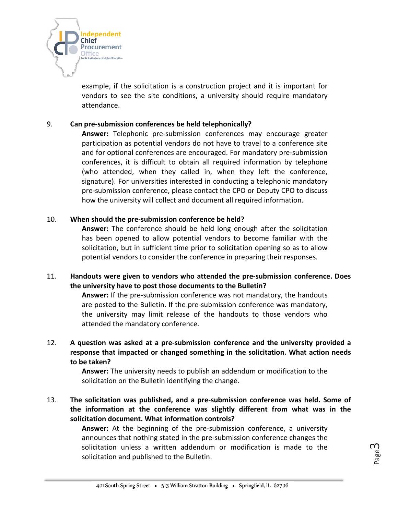

example, if the solicitation is a construction project and it is important for vendors to see the site conditions, a university should require mandatory attendance.

## 9. **Can pre-submission conferences be held telephonically?**

**Answer:** Telephonic pre-submission conferences may encourage greater participation as potential vendors do not have to travel to a conference site and for optional conferences are encouraged. For mandatory pre-submission conferences, it is difficult to obtain all required information by telephone (who attended, when they called in, when they left the conference, signature). For universities interested in conducting a telephonic mandatory pre-submission conference, please contact the CPO or Deputy CPO to discuss how the university will collect and document all required information.

## 10. **When should the pre-submission conference be held?**

**Answer:** The conference should be held long enough after the solicitation has been opened to allow potential vendors to become familiar with the solicitation, but in sufficient time prior to solicitation opening so as to allow potential vendors to consider the conference in preparing their responses.

## 11. **Handouts were given to vendors who attended the pre-submission conference. Does the university have to post those documents to the Bulletin?**

**Answer:** If the pre-submission conference was not mandatory, the handouts are posted to the Bulletin. If the pre-submission conference was mandatory, the university may limit release of the handouts to those vendors who attended the mandatory conference.

# 12. **A question was asked at a pre-submission conference and the university provided a response that impacted or changed something in the solicitation. What action needs to be taken?**

**Answer:** The university needs to publish an addendum or modification to the solicitation on the Bulletin identifying the change.

13. **The solicitation was published, and a pre-submission conference was held. Some of the information at the conference was slightly different from what was in the solicitation document. What information controls?**

> **Answer:** At the beginning of the pre-submission conference, a university announces that nothing stated in the pre-submission conference changes the solicitation unless a written addendum or modification is made to the solicitation and published to the Bulletin.

Page ന